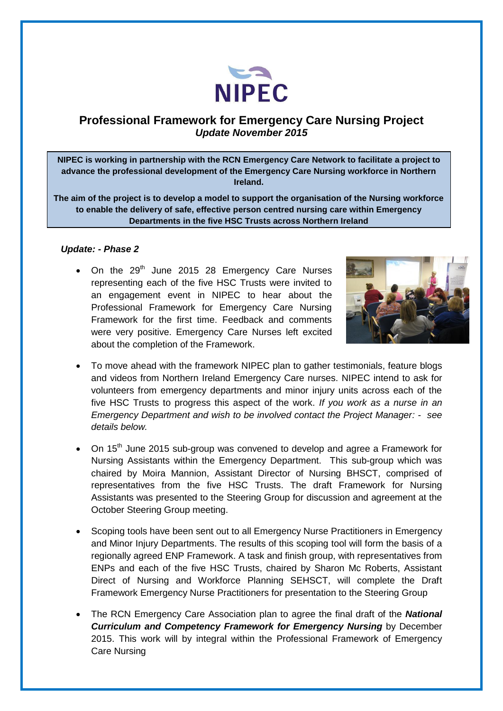

## **Professional Framework for Emergency Care Nursing Project**  *Update November 2015*

**NIPEC is working in partnership with the RCN Emergency Care Network to facilitate a project to advance the professional development of the Emergency Care Nursing workforce in Northern Ireland.**

**The aim of the project is to develop a model to support the organisation of the Nursing workforce to enable the delivery of safe, effective person centred nursing care within Emergency Departments in the five HSC Trusts across Northern Ireland**

## *Update: - Phase 2*

 $\bullet$  On the 29<sup>th</sup> June 2015 28 Emergency Care Nurses representing each of the five HSC Trusts were invited to an engagement event in NIPEC to hear about the Professional Framework for Emergency Care Nursing Framework for the first time. Feedback and comments were very positive. Emergency Care Nurses left excited about the completion of the Framework.



- To move ahead with the framework NIPEC plan to gather testimonials, feature blogs and videos from Northern Ireland Emergency Care nurses. NIPEC intend to ask for volunteers from emergency departments and minor injury units across each of the five HSC Trusts to progress this aspect of the work. *If you work as a nurse in an Emergency Department and wish to be involved contact the Project Manager: - see details below.*
- On 15<sup>th</sup> June 2015 sub-group was convened to develop and agree a Framework for Nursing Assistants within the Emergency Department. This sub-group which was chaired by Moira Mannion, Assistant Director of Nursing BHSCT, comprised of representatives from the five HSC Trusts. The draft Framework for Nursing Assistants was presented to the Steering Group for discussion and agreement at the October Steering Group meeting.
- Scoping tools have been sent out to all Emergency Nurse Practitioners in Emergency and Minor Injury Departments. The results of this scoping tool will form the basis of a regionally agreed ENP Framework. A task and finish group, with representatives from ENPs and each of the five HSC Trusts, chaired by Sharon Mc Roberts, Assistant Direct of Nursing and Workforce Planning SEHSCT, will complete the Draft Framework Emergency Nurse Practitioners for presentation to the Steering Group
- The RCN Emergency Care Association plan to agree the final draft of the *National Curriculum and Competency Framework for Emergency Nursing by December* 2015. This work will by integral within the Professional Framework of Emergency Care Nursing